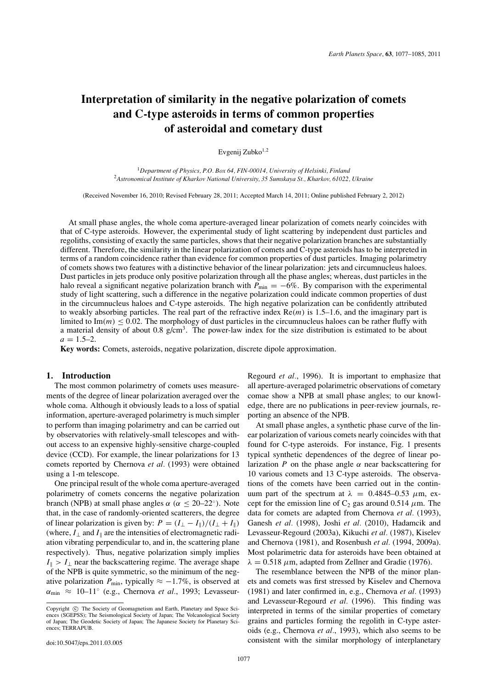# **Interpretation of similarity in the negative polarization of comets and C-type asteroids in terms of common properties of asteroidal and cometary dust**

Evgenij Zubko $1,2$ 

<sup>1</sup>*Department of Physics, P.O. Box 64, FIN-00014, University of Helsinki, Finland* <sup>2</sup>*Astronomical Institute of Kharkov National University, 35 Sumskaya St., Kharkov, 61022, Ukraine*

(Received November 16, 2010; Revised February 28, 2011; Accepted March 14, 2011; Online published February 2, 2012)

At small phase angles, the whole coma aperture-averaged linear polarization of comets nearly coincides with that of C-type asteroids. However, the experimental study of light scattering by independent dust particles and regoliths, consisting of exactly the same particles, shows that their negative polarization branches are substantially different. Therefore, the similarity in the linear polarization of comets and C-type asteroids has to be interpreted in terms of a random coincidence rather than evidence for common properties of dust particles. Imaging polarimetry of comets shows two features with a distinctive behavior of the linear polarization: jets and circumnucleus haloes. Dust particles in jets produce only positive polarization through all the phase angles; whereas, dust particles in the halo reveal a significant negative polarization branch with  $P_{\text{min}} = -6\%$ . By comparison with the experimental study of light scattering, such a difference in the negative polarization could indicate common properties of dust in the circumnucleus haloes and C-type asteroids. The high negative polarization can be confidently attributed to weakly absorbing particles. The real part of the refractive index  $Re(m)$  is 1.5–1.6, and the imaginary part is limited to  $\text{Im}(m) < 0.02$ . The morphology of dust particles in the circumnucleus haloes can be rather fluffy with a material density of about 0.8 g/cm<sup>3</sup>. The power-law index for the size distribution is estimated to be about  $a = 1.5 - 2.$ 

**Key words:** Comets, asteroids, negative polarization, discrete dipole approximation.

## **1. Introduction**

The most common polarimetry of comets uses measurements of the degree of linear polarization averaged over the whole coma. Although it obviously leads to a loss of spatial information, aperture-averaged polarimetry is much simpler to perform than imaging polarimetry and can be carried out by observatories with relatively-small telescopes and without access to an expensive highly-sensitive charge-coupled device (CCD). For example, the linear polarizations for 13 comets reported by Chernova *et al.* (1993) were obtained using a 1-m telescope.

One principal result of the whole coma aperture-averaged polarimetry of comets concerns the negative polarization branch (NPB) at small phase angles  $\alpha$  ( $\alpha \le 20-22°$ ). Note that, in the case of randomly-oriented scatterers, the degree of linear polarization is given by:  $P = (I_{\perp} - I_{\parallel})/(I_{\perp} + I_{\parallel})$ (where,  $I_{\perp}$  and  $I_{\parallel}$  are the intensities of electromagnetic radiation vibrating perpendicular to, and in, the scattering plane respectively). Thus, negative polarization simply implies  $I_{\parallel}$  > *I*<sub>⊥</sub> near the backscattering regime. The average shape of the NPB is quite symmetric, so the minimum of the negative polarization  $P_{\text{min}}$ , typically  $\approx -1.7\%$ , is observed at  $\alpha_{\min} \approx 10-11^{\circ}$  (e.g., Chernova *et al.*, 1993; LevasseurRegourd *et al.*, 1996). It is important to emphasize that all aperture-averaged polarimetric observations of cometary comae show a NPB at small phase angles; to our knowledge, there are no publications in peer-review journals, reporting an absence of the NPB.

At small phase angles, a synthetic phase curve of the linear polarization of various comets nearly coincides with that found for C-type asteroids. For instance, Fig. 1 presents typical synthetic dependences of the degree of linear polarization *P* on the phase angle  $\alpha$  near backscattering for 10 various comets and 13 C-type asteroids. The observations of the comets have been carried out in the continuum part of the spectrum at  $\lambda = 0.4845 - 0.53 \mu$ m, except for the emission line of  $C_2$  gas around 0.514  $\mu$ m. The data for comets are adapted from Chernova *et al.* (1993), Ganesh *et al.* (1998), Joshi *et al.* (2010), Hadamcik and Levasseur-Regourd (2003a), Kikuchi *et al.* (1987), Kiselev and Chernova (1981), and Rosenbush *et al.* (1994, 2009a). Most polarimetric data for asteroids have been obtained at  $\lambda = 0.518$  *μm, adapted from Zellner and Gradie (1976).* 

The resemblance between the NPB of the minor planets and comets was first stressed by Kiselev and Chernova (1981) and later confirmed in, e.g., Chernova *et al.* (1993) and Levasseur-Regourd *et al.* (1996). This finding was interpreted in terms of the similar properties of cometary grains and particles forming the regolith in C-type asteroids (e.g., Chernova *et al.*, 1993), which also seems to be consistent with the similar morphology of interplanetary

Copyright  $\odot$  The Society of Geomagnetism and Earth, Planetary and Space Sciences (SGEPSS); The Seismological Society of Japan; The Volcanological Society of Japan; The Geodetic Society of Japan; The Japanese Society for Planetary Sciences; TERRAPUB.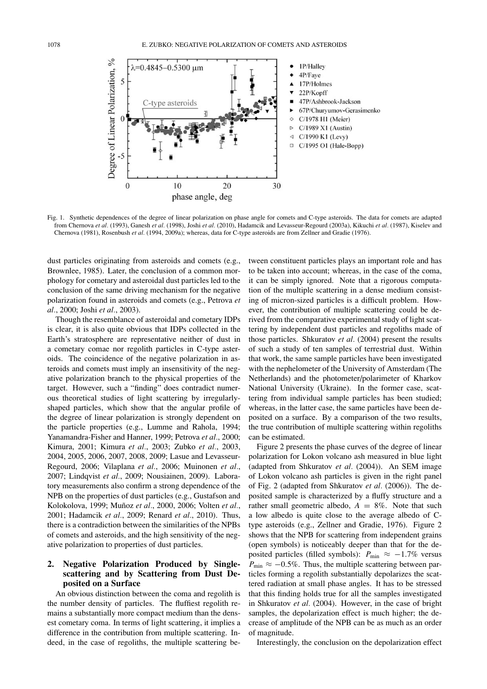

Fig. 1. Synthetic dependences of the degree of linear polarization on phase angle for comets and C-type asteroids. The data for comets are adapted from Chernova *et al.* (1993), Ganesh *et al.* (1998), Joshi *et al.* (2010), Hadamcik and Levasseur-Regourd (2003a), Kikuchi *et al.* (1987), Kiselev and Chernova (1981), Rosenbush *et al.* (1994, 2009a); whereas, data for C-type asteroids are from Zellner and Gradie (1976).

dust particles originating from asteroids and comets (e.g., Brownlee, 1985). Later, the conclusion of a common morphology for cometary and asteroidal dust particles led to the conclusion of the same driving mechanism for the negative polarization found in asteroids and comets (e.g., Petrova *et al.*, 2000; Joshi *et al.*, 2003).

Though the resemblance of asteroidal and cometary IDPs is clear, it is also quite obvious that IDPs collected in the Earth's stratosphere are representative neither of dust in a cometary comae nor regolith particles in C-type asteroids. The coincidence of the negative polarization in asteroids and comets must imply an insensitivity of the negative polarization branch to the physical properties of the target. However, such a "finding" does contradict numerous theoretical studies of light scattering by irregularlyshaped particles, which show that the angular profile of the degree of linear polarization is strongly dependent on the particle properties (e.g., Lumme and Rahola, 1994; Yanamandra-Fisher and Hanner, 1999; Petrova *et al.*, 2000; Kimura, 2001; Kimura *et al.*, 2003; Zubko *et al.*, 2003, 2004, 2005, 2006, 2007, 2008, 2009; Lasue and Levasseur-Regourd, 2006; Vilaplana *et al.*, 2006; Muinonen *et al.*, 2007; Lindqvist *et al.*, 2009; Nousiainen, 2009). Laboratory measurements also confirm a strong dependence of the NPB on the properties of dust particles (e.g., Gustafson and Kolokolova, 1999; Muñoz et al., 2000, 2006; Volten et al., 2001; Hadamcik *et al.*, 2009; Renard *et al.*, 2010). Thus, there is a contradiction between the similarities of the NPBs of comets and asteroids, and the high sensitivity of the negative polarization to properties of dust particles.

## **2. Negative Polarization Produced by Singlescattering and by Scattering from Dust Deposited on a Surface**

An obvious distinction between the coma and regolith is the number density of particles. The fluffiest regolith remains a substantially more compact medium than the densest cometary coma. In terms of light scattering, it implies a difference in the contribution from multiple scattering. Indeed, in the case of regoliths, the multiple scattering between constituent particles plays an important role and has to be taken into account; whereas, in the case of the coma, it can be simply ignored. Note that a rigorous computation of the multiple scattering in a dense medium consisting of micron-sized particles is a difficult problem. However, the contribution of multiple scattering could be derived from the comparative experimental study of light scattering by independent dust particles and regoliths made of those particles. Shkuratov *et al.* (2004) present the results of such a study of ten samples of terrestrial dust. Within that work, the same sample particles have been investigated with the nephelometer of the University of Amsterdam (The Netherlands) and the photometer/polarimeter of Kharkov National University (Ukraine). In the former case, scattering from individual sample particles has been studied; whereas, in the latter case, the same particles have been deposited on a surface. By a comparison of the two results, the true contribution of multiple scattering within regoliths can be estimated.

Figure 2 presents the phase curves of the degree of linear polarization for Lokon volcano ash measured in blue light (adapted from Shkuratov *et al.* (2004)). An SEM image of Lokon volcano ash particles is given in the right panel of Fig. 2 (adapted from Shkuratov *et al.* (2006)). The deposited sample is characterized by a fluffy structure and a rather small geometric albedo,  $A = 8\%$ . Note that such a low albedo is quite close to the average albedo of Ctype asteroids (e.g., Zellner and Gradie, 1976). Figure 2 shows that the NPB for scattering from independent grains (open symbols) is noticeably deeper than that for the deposited particles (filled symbols):  $P_{\text{min}} \approx -1.7\%$  versus  $P_{\text{min}} \approx -0.5\%$ . Thus, the multiple scattering between particles forming a regolith substantially depolarizes the scattered radiation at small phase angles. It has to be stressed that this finding holds true for all the samples investigated in Shkuratov *et al.* (2004). However, in the case of bright samples, the depolarization effect is much higher; the decrease of amplitude of the NPB can be as much as an order of magnitude.

Interestingly, the conclusion on the depolarization effect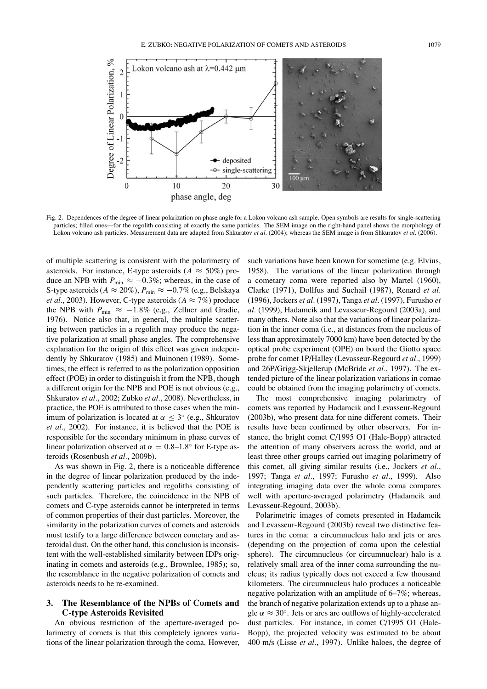

Fig. 2. Dependences of the degree of linear polarization on phase angle for a Lokon volcano ash sample. Open symbols are results for single-scattering particles; filled ones—for the regolith consisting of exactly the same particles. The SEM image on the right-hand panel shows the morphology of Lokon volcano ash particles. Measurement data are adapted from Shkuratov *et al.* (2004); whereas the SEM image is from Shkuratov *et al.* (2006).

of multiple scattering is consistent with the polarimetry of asteroids. For instance, E-type asteroids  $(A \approx 50\%)$  produce an NPB with  $P_{\text{min}} \approx -0.3\%$ ; whereas, in the case of S-type asteroids ( $A \approx 20\%$ ),  $P_{\text{min}} \approx -0.7\%$  (e.g., Belskaya *et al.*, 2003). However, C-type asteroids ( $A \approx 7\%$ ) produce the NPB with  $P_{\text{min}} \approx -1.8\%$  (e.g., Zellner and Gradie, 1976). Notice also that, in general, the multiple scattering between particles in a regolith may produce the negative polarization at small phase angles. The comprehensive explanation for the origin of this effect was given independently by Shkuratov (1985) and Muinonen (1989). Sometimes, the effect is referred to as the polarization opposition effect (POE) in order to distinguish it from the NPB, though a different origin for the NPB and POE is not obvious (e.g., Shkuratov *et al.*, 2002; Zubko *et al.*, 2008). Nevertheless, in practice, the POE is attributed to those cases when the minimum of polarization is located at  $\alpha < 3^{\circ}$  (e.g., Shkuratov *et al.*, 2002). For instance, it is believed that the POE is responsible for the secondary minimum in phase curves of linear polarization observed at  $\alpha = 0.8$ –1.8° for E-type asteroids (Rosenbush *et al.*, 2009b).

As was shown in Fig. 2, there is a noticeable difference in the degree of linear polarization produced by the independently scattering particles and regoliths consisting of such particles. Therefore, the coincidence in the NPB of comets and C-type asteroids cannot be interpreted in terms of common properties of their dust particles. Moreover, the similarity in the polarization curves of comets and asteroids must testify to a large difference between cometary and asteroidal dust. On the other hand, this conclusion is inconsistent with the well-established similarity between IDPs originating in comets and asteroids (e.g., Brownlee, 1985); so, the resemblance in the negative polarization of comets and asteroids needs to be re-examined.

#### **3. The Resemblance of the NPBs of Comets and C-type Asteroids Revisited**

An obvious restriction of the aperture-averaged polarimetry of comets is that this completely ignores variations of the linear polarization through the coma. However,

such variations have been known for sometime (e.g. Elvius, 1958). The variations of the linear polarization through a cometary coma were reported also by Martel (1960), Clarke (1971), Dollfus and Suchail (1987), Renard *et al.* (1996), Jockers *et al.* (1997), Tanga *et al.* (1997), Furusho *et al.* (1999), Hadamcik and Levasseur-Regourd (2003a), and many others. Note also that the variations of linear polarization in the inner coma (i.e., at distances from the nucleus of less than approximately 7000 km) have been detected by the optical probe experiment (OPE) on board the Giotto space probe for comet 1P/Halley (Levasseur-Regourd *et al.*, 1999) and 26P/Grigg-Skjellerup (McBride *et al.*, 1997). The extended picture of the linear polarization variations in comae could be obtained from the imaging polarimetry of comets.

The most comprehensive imaging polarimetry of comets was reported by Hadamcik and Levasseur-Regourd (2003b), who present data for nine different comets. Their results have been confirmed by other observers. For instance, the bright comet C/1995 O1 (Hale-Bopp) attracted the attention of many observers across the world, and at least three other groups carried out imaging polarimetry of this comet, all giving similar results (i.e., Jockers *et al.*, 1997; Tanga *et al.*, 1997; Furusho *et al.*, 1999). Also integrating imaging data over the whole coma compares well with aperture-averaged polarimetry (Hadamcik and Levasseur-Regourd, 2003b).

Polarimetric images of comets presented in Hadamcik and Levasseur-Regourd (2003b) reveal two distinctive features in the coma: a circumnucleus halo and jets or arcs (depending on the projection of coma upon the celestial sphere). The circumnucleus (or circumnuclear) halo is a relatively small area of the inner coma surrounding the nucleus; its radius typically does not exceed a few thousand kilometers. The circumnucleus halo produces a noticeable negative polarization with an amplitude of 6–7%; whereas, the branch of negative polarization extends up to a phase angle  $\alpha \approx 30^{\circ}$ . Jets or arcs are outflows of highly-accelerated dust particles. For instance, in comet C/1995 O1 (Hale-Bopp), the projected velocity was estimated to be about 400 m/s (Lisse *et al.*, 1997). Unlike haloes, the degree of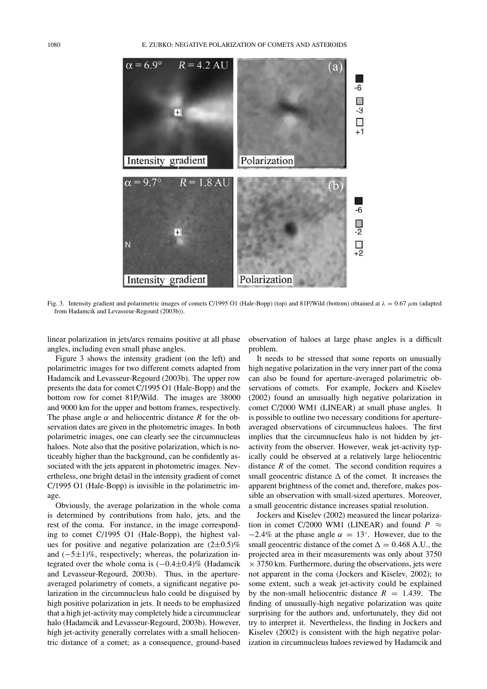

Fig. 3. Intensity gradient and polarimetric images of comets C/1995 O1 (Hale-Bopp) (top) and 81P/Wild (bottom) obtained at  $\lambda = 0.67 \mu m$  (adapted from Hadamcik and Levasseur-Regourd (2003b)).

linear polarization in jets/arcs remains positive at all phase angles, including even small phase angles.

Figure 3 shows the intensity gradient (on the left) and polarimetric images for two different comets adapted from Hadamcik and Levasseur-Regourd (2003b). The upper row presents the data for comet C/1995 O1 (Hale-Bopp) and the bottom row for comet 81P/Wild. The images are 38000 and 9000 km for the upper and bottom frames, respectively. The phase angle  $\alpha$  and heliocentric distance *R* for the observation dates are given in the photometric images. In both polarimetric images, one can clearly see the circumnucleus haloes. Note also that the positive polarization, which is noticeably higher than the background, can be confidently associated with the jets apparent in photometric images. Nevertheless, one bright detail in the intensity gradient of comet C/1995 O1 (Hale-Bopp) is invisible in the polarimetric image.

Obviously, the average polarization in the whole coma is determined by contributions from halo, jets, and the rest of the coma. For instance, in the image corresponding to comet C/1995 O1 (Hale-Bopp), the highest values for positive and negative polarization are  $(2\pm 0.5)\%$ and (−5±1)%, respectively; whereas, the polarization integrated over the whole coma is (−0.4±0.4)% (Hadamcik and Levasseur-Regourd, 2003b). Thus, in the apertureaveraged polarimetry of comets, a significant negative polarization in the circumnucleus halo could be disguised by high positive polarization in jets. It needs to be emphasized that a high jet-activity may completely hide a circumnuclear halo (Hadamcik and Levasseur-Regourd, 2003b). However, high jet-activity generally correlates with a small heliocentric distance of a comet; as a consequence, ground-based observation of haloes at large phase angles is a difficult problem.

It needs to be stressed that some reports on unusually high negative polarization in the very inner part of the coma can also be found for aperture-averaged polarimetric observations of comets. For example, Jockers and Kiselev (2002) found an unusually high negative polarization in comet C/2000 WM1 (LINEAR) at small phase angles. It is possible to outline two necessary conditions for apertureaveraged observations of circumnucleus haloes. The first implies that the circumnucleus halo is not hidden by jetactivity from the observer. However, weak jet-activity typically could be observed at a relatively large heliocentric distance *R* of the comet. The second condition requires a small geocentric distance  $\Delta$  of the comet. It increases the apparent brightness of the comet and, therefore, makes possible an observation with small-sized apertures. Moreover, a small geocentric distance increases spatial resolution.

Jockers and Kiselev (2002) measured the linear polarization in comet C/2000 WM1 (LINEAR) and found  $P \approx$  $-2.4\%$  at the phase angle  $\alpha = 13^\circ$ . However, due to the small geocentric distance of the comet  $\Delta = 0.468$  A.U., the projected area in their measurements was only about 3750  $\times$  3750 km. Furthermore, during the observations, jets were not apparent in the coma (Jockers and Kiselev, 2002); to some extent, such a weak jet-activity could be explained by the non-small heliocentric distance  $R = 1.439$ . The finding of unusually-high negative polarization was quite surprising for the authors and, unfortunately, they did not try to interpret it. Nevertheless, the finding in Jockers and Kiselev (2002) is consistent with the high negative polarization in circumnucleus haloes reviewed by Hadamcik and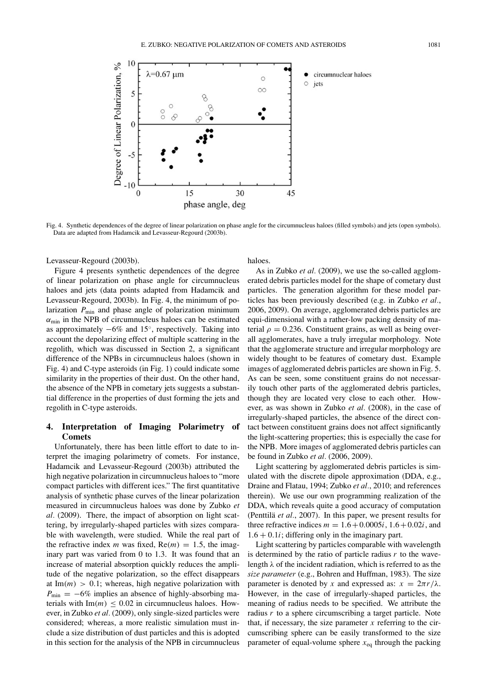

Fig. 4. Synthetic dependences of the degree of linear polarization on phase angle for the circumnucleus haloes (filled symbols) and jets (open symbols). Data are adapted from Hadamcik and Levasseur-Regourd (2003b).

Levasseur-Regourd (2003b).

Figure 4 presents synthetic dependences of the degree of linear polarization on phase angle for circumnucleus haloes and jets (data points adapted from Hadamcik and Levasseur-Regourd, 2003b). In Fig. 4, the minimum of polarization  $P_{\text{min}}$  and phase angle of polarization minimum  $\alpha_{\min}$  in the NPB of circumnucleus haloes can be estimated as approximately  $-6\%$  and 15 $\degree$ , respectively. Taking into account the depolarizing effect of multiple scattering in the regolith, which was discussed in Section 2, a significant difference of the NPBs in circumnucleus haloes (shown in Fig. 4) and C-type asteroids (in Fig. 1) could indicate some similarity in the properties of their dust. On the other hand, the absence of the NPB in cometary jets suggests a substantial difference in the properties of dust forming the jets and regolith in C-type asteroids.

## **4. Interpretation of Imaging Polarimetry of Comets**

Unfortunately, there has been little effort to date to interpret the imaging polarimetry of comets. For instance, Hadamcik and Levasseur-Regourd (2003b) attributed the high negative polarization in circumnucleus haloes to "more compact particles with different ices." The first quantitative analysis of synthetic phase curves of the linear polarization measured in circumnucleus haloes was done by Zubko *et al.* (2009). There, the impact of absorption on light scattering, by irregularly-shaped particles with sizes comparable with wavelength, were studied. While the real part of the refractive index *m* was fixed,  $Re(m) = 1.5$ , the imaginary part was varied from 0 to 1.3. It was found that an increase of material absorption quickly reduces the amplitude of the negative polarization, so the effect disappears at  $Im(m) > 0.1$ ; whereas, high negative polarization with  $P_{\text{min}} = -6\%$  implies an absence of highly-absorbing materials with  $\text{Im}(m) \leq 0.02$  in circumnucleus haloes. However, in Zubko *et al.* (2009), only single-sized particles were considered; whereas, a more realistic simulation must include a size distribution of dust particles and this is adopted in this section for the analysis of the NPB in circumnucleus haloes.

As in Zubko *et al.* (2009), we use the so-called agglomerated debris particles model for the shape of cometary dust particles. The generation algorithm for these model particles has been previously described (e.g. in Zubko *et al.*, 2006, 2009). On average, agglomerated debris particles are equi-dimensional with a rather-low packing density of material  $\rho = 0.236$ . Constituent grains, as well as being overall agglomerates, have a truly irregular morphology. Note that the agglomerate structure and irregular morphology are widely thought to be features of cometary dust. Example images of agglomerated debris particles are shown in Fig. 5. As can be seen, some constituent grains do not necessarily touch other parts of the agglomerated debris particles, though they are located very close to each other. However, as was shown in Zubko *et al.* (2008), in the case of irregularly-shaped particles, the absence of the direct contact between constituent grains does not affect significantly the light-scattering properties; this is especially the case for the NPB. More images of agglomerated debris particles can be found in Zubko *et al.* (2006, 2009).

Light scattering by agglomerated debris particles is simulated with the discrete dipole approximation (DDA, e.g., Draine and Flatau, 1994; Zubko *et al.*, 2010; and references therein). We use our own programming realization of the DDA, which reveals quite a good accuracy of computation (Penttilä et al., 2007). In this paper, we present results for three refractive indices  $m = 1.6 + 0.0005i$ ,  $1.6 + 0.02i$ , and  $1.6 + 0.1i$ ; differing only in the imaginary part.

Light scattering by particles comparable with wavelength is determined by the ratio of particle radius *r* to the wavelength  $\lambda$  of the incident radiation, which is referred to as the *size parameter* (e.g., Bohren and Huffman, 1983). The size parameter is denoted by *x* and expressed as:  $x = 2\pi r/\lambda$ . However, in the case of irregularly-shaped particles, the meaning of radius needs to be specified. We attribute the radius *r* to a sphere circumscribing a target particle. Note that, if necessary, the size parameter  $x$  referring to the circumscribing sphere can be easily transformed to the size parameter of equal-volume sphere  $x_{eq}$  through the packing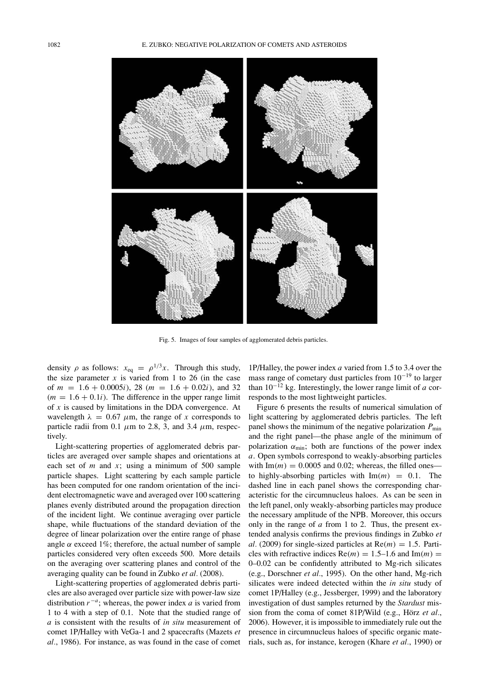#### 1082 E. ZUBKO: NEGATIVE POLARIZATION OF COMETS AND ASTEROIDS



Fig. 5. Images of four samples of agglomerated debris particles.

density  $\rho$  as follows:  $x_{eq} = \rho^{1/3}x$ . Through this study, the size parameter  $x$  is varied from 1 to 26 (in the case of  $m = 1.6 + 0.0005i$ , 28 ( $m = 1.6 + 0.02i$ ), and 32  $(m = 1.6 + 0.1i)$ . The difference in the upper range limit of *x* is caused by limitations in the DDA convergence. At wavelength  $\lambda = 0.67 \mu m$ , the range of *x* corresponds to particle radii from 0.1  $\mu$ m to 2.8, 3, and 3.4  $\mu$ m, respectively.

Light-scattering properties of agglomerated debris particles are averaged over sample shapes and orientations at each set of *m* and *x*; using a minimum of 500 sample particle shapes. Light scattering by each sample particle has been computed for one random orientation of the incident electromagnetic wave and averaged over 100 scattering planes evenly distributed around the propagation direction of the incident light. We continue averaging over particle shape, while fluctuations of the standard deviation of the degree of linear polarization over the entire range of phase angle  $\alpha$  exceed 1%; therefore, the actual number of sample particles considered very often exceeds 500. More details on the averaging over scattering planes and control of the averaging quality can be found in Zubko *et al.* (2008).

Light-scattering properties of agglomerated debris particles are also averaged over particle size with power-law size distribution *r*−*<sup>a</sup>*; whereas, the power index *a* is varied from 1 to 4 with a step of 0.1. Note that the studied range of *a* is consistent with the results of *in situ* measurement of comet 1P/Halley with VeGa-1 and 2 spacecrafts (Mazets *et al.*, 1986). For instance, as was found in the case of comet

1P/Halley, the power index *a* varied from 1.5 to 3.4 over the mass range of cometary dust particles from 10−<sup>19</sup> to larger than  $10^{-12}$  kg. Interestingly, the lower range limit of *a* corresponds to the most lightweight particles.

Figure 6 presents the results of numerical simulation of light scattering by agglomerated debris particles. The left panel shows the minimum of the negative polarization  $P_{\text{min}}$ and the right panel—the phase angle of the minimum of polarization  $\alpha_{\min}$ ; both are functions of the power index *a*. Open symbols correspond to weakly-absorbing particles with  $\text{Im}(m) = 0.0005$  and 0.02; whereas, the filled ones to highly-absorbing particles with  $\text{Im}(m) = 0.1$ . The dashed line in each panel shows the corresponding characteristic for the circumnucleus haloes. As can be seen in the left panel, only weakly-absorbing particles may produce the necessary amplitude of the NPB. Moreover, this occurs only in the range of *a* from 1 to 2. Thus, the present extended analysis confirms the previous findings in Zubko *et al.* (2009) for single-sized particles at  $Re(m) = 1.5$ . Particles with refractive indices  $Re(m) = 1.5{\text -}1.6$  and  $Im(m) =$ 0–0.02 can be confidently attributed to Mg-rich silicates (e.g., Dorschner *et al.*, 1995). On the other hand, Mg-rich silicates were indeed detected within the *in situ* study of comet 1P/Halley (e.g., Jessberger, 1999) and the laboratory investigation of dust samples returned by the *Stardust* mission from the coma of comet 81P/Wild (e.g., Hörz et al., 2006). However, it is impossible to immediately rule out the presence in circumnucleus haloes of specific organic materials, such as, for instance, kerogen (Khare *et al.*, 1990) or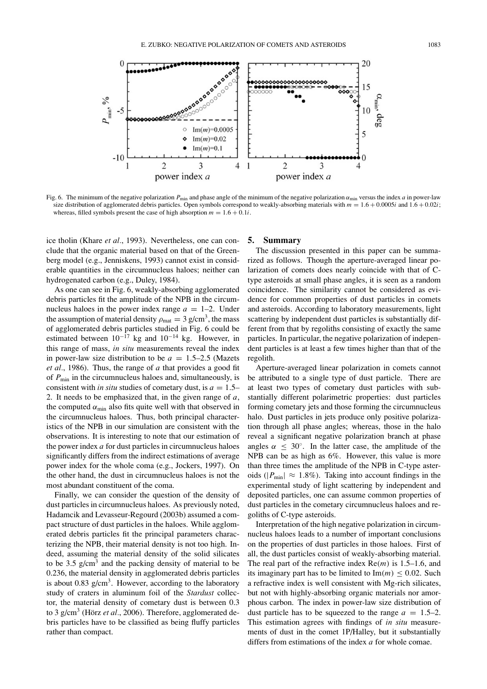

Fig. 6. The minimum of the negative polarization  $P_{\text{min}}$  and phase angle of the minimum of the negative polarization  $\alpha_{\text{min}}$  versus the index *a* in power-law size distribution of agglomerated debris particles. Open symbols correspond to weakly-absorbing materials with  $m = 1.6 + 0.0005i$  and  $1.6 + 0.02i$ ; whereas, filled symbols present the case of high absorption  $m = 1.6 + 0.1i$ .

ice tholin (Khare *et al.*, 1993). Nevertheless, one can conclude that the organic material based on that of the Greenberg model (e.g., Jenniskens, 1993) cannot exist in considerable quantities in the circumnucleus haloes; neither can hydrogenated carbon (e.g., Duley, 1984).

As one can see in Fig. 6, weakly-absorbing agglomerated debris particles fit the amplitude of the NPB in the circumnucleus haloes in the power index range  $a = 1-2$ . Under the assumption of material density  $\rho_{\text{mat}} = 3 \text{ g/cm}^3$ , the mass of agglomerated debris particles studied in Fig. 6 could be estimated between  $10^{-17}$  kg and  $10^{-14}$  kg. However, in this range of mass, *in situ* measurements reveal the index in power-law size distribution to be  $a = 1.5-2.5$  (Mazets *et al.*, 1986). Thus, the range of *a* that provides a good fit of  $P_{\text{min}}$  in the circumnucleus haloes and, simultaneously, is consistent with *in situ* studies of cometary dust, is  $a = 1.5-$ 2. It needs to be emphasized that, in the given range of *a*, the computed  $\alpha_{\min}$  also fits quite well with that observed in the circumnucleus haloes. Thus, both principal characteristics of the NPB in our simulation are consistent with the observations. It is interesting to note that our estimation of the power index *a* for dust particles in circumnucleus haloes significantly differs from the indirect estimations of average power index for the whole coma (e.g., Jockers, 1997). On the other hand, the dust in circumnucleus haloes is not the most abundant constituent of the coma.

Finally, we can consider the question of the density of dust particles in circumnucleus haloes. As previously noted, Hadamcik and Levasseur-Regourd (2003b) assumed a compact structure of dust particles in the haloes. While agglomerated debris particles fit the principal parameters characterizing the NPB, their material density is not too high. Indeed, assuming the material density of the solid silicates to be  $3.5 \text{ g/cm}^3$  and the packing density of material to be 0.236, the material density in agglomerated debris particles is about 0.83  $g/cm<sup>3</sup>$ . However, according to the laboratory study of craters in aluminum foil of the *Stardust* collector, the material density of cometary dust is between 0.3 to 3 g/cm<sup>3</sup> (Hörz et al., 2006). Therefore, agglomerated debris particles have to be classified as being fluffy particles rather than compact.

#### **5. Summary**

The discussion presented in this paper can be summarized as follows. Though the aperture-averaged linear polarization of comets does nearly coincide with that of Ctype asteroids at small phase angles, it is seen as a random coincidence. The similarity cannot be considered as evidence for common properties of dust particles in comets and asteroids. According to laboratory measurements, light scattering by independent dust particles is substantially different from that by regoliths consisting of exactly the same particles. In particular, the negative polarization of independent particles is at least a few times higher than that of the regolith.

Aperture-averaged linear polarization in comets cannot be attributed to a single type of dust particle. There are at least two types of cometary dust particles with substantially different polarimetric properties: dust particles forming cometary jets and those forming the circumnucleus halo. Dust particles in jets produce only positive polarization through all phase angles; whereas, those in the halo reveal a significant negative polarization branch at phase angles  $\alpha \leq 30^{\circ}$ . In the latter case, the amplitude of the NPB can be as high as 6%. However, this value is more than three times the amplitude of the NPB in C-type asteroids ( $|P_{min}| \approx 1.8\%$ ). Taking into account findings in the experimental study of light scattering by independent and deposited particles, one can assume common properties of dust particles in the cometary circumnucleus haloes and regoliths of C-type asteroids.

Interpretation of the high negative polarization in circumnucleus haloes leads to a number of important conclusions on the properties of dust particles in those haloes. First of all, the dust particles consist of weakly-absorbing material. The real part of the refractive index Re(*m*) is 1.5–1.6, and its imaginary part has to be limited to  $Im(m) \leq 0.02$ . Such a refractive index is well consistent with Mg-rich silicates, but not with highly-absorbing organic materials nor amorphous carbon. The index in power-law size distribution of dust particle has to be squeezed to the range  $a = 1.5-2$ . This estimation agrees with findings of *in situ* measurements of dust in the comet 1P/Halley, but it substantially differs from estimations of the index *a* for whole comae.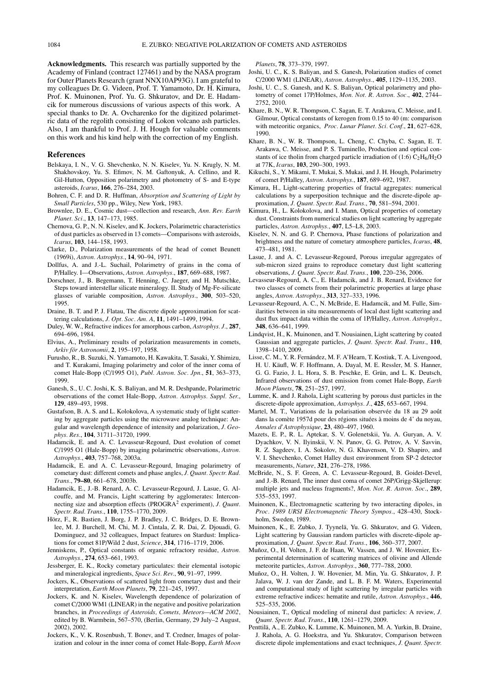**Acknowledgments.** This research was partially supported by the Academy of Finland (contract 127461) and by the NASA program for Outer Planets Research (grant NNX10AP93G). I am grateful to my colleagues Dr. G. Videen, Prof. T. Yamamoto, Dr. H. Kimura, Prof. K. Muinonen, Prof. Yu. G. Shkuratov, and Dr. E. Hadamcik for numerous discussions of various aspects of this work. A special thanks to Dr. A. Ovcharenko for the digitized polarimetric data of the regolith consisting of Lokon volcano ash particles. Also, I am thankful to Prof. J. H. Hough for valuable comments on this work and his kind help with the correction of my English.

#### **References**

- Belskaya, I. N., V. G. Shevchenko, N. N. Kiselev, Yu. N. Krugly, N. M. Shakhovskoy, Yu. S. Efimov, N. M. Gaftonyuk, A. Cellino, and R. Gil-Hutton, Opposition polarimetry and photometry of S- and E-type asteroids, *Icarus*, **166**, 276–284, 2003.
- Bohren, C. F. and D. R. Huffman, *Absorption and Scattering of Light by Small Particles*, 530 pp., Wiley, New York, 1983.
- Brownlee, D. E., Cosmic dust—collection and research, *Ann. Rev. Earth Planet. Sci.*, **13**, 147–173, 1985.
- Chernova, G. P., N. N. Kiselev, and K. Jockers, Polarimetric characteristics of dust particles as observed in 13 comets—Comparisons with asteroids, *Icarus*, **103**, 144–158, 1993.
- Clarke, D., Polarization measurements of the head of comet Beunett (1969i), *Astron. Astrophys.*, **14**, 90–94, 1971.
- Dollfus, A. and J.-L. Suchail, Polarimetry of grains in the coma of P/Halley. I—Observations, *Astron. Astrophys.*, **187**, 669–688, 1987.
- Dorschner, J., B. Begemann, T. Henning, C. Jaeger, and H. Mutschke, Steps toward interstellar silicate mineralogy. II. Study of Mg-Fe-silicate glasses of variable composition, *Astron. Astrophys.*, **300**, 503–520, 1995.
- Draine, B. T. and P. J. Flatau, The discrete dipole approximation for scattering calculations, *J. Opt. Soc. Am. A*, **11**, 1491–1499, 1994.
- Duley, W. W., Refractive indices for amorphous carbon, *Astrophys. J.*, **287**, 694–696, 1984.
- Elvius, A., Preliminary results of polarization measurements in comets, *Arkiv for Astronomii ¨* , **2**, 195–197, 1958.
- Furusho, R., B. Suzuki, N. Yamamoto, H. Kawakita, T. Sasaki, Y. Shimizu, and T. Kurakami, Imaging polarimetry and color of the inner coma of comet Hale-Bopp (C/1995 O1), *Publ. Astron. Soc. Jpn.*, **51**, 363–373, 1999.
- Ganesh, S., U. C. Joshi, K. S. Baliyan, and M. R. Deshpande, Polarimetric observations of the comet Hale-Bopp, *Astron. Astrophys. Suppl. Ser.*, **129**, 489–493, 1998.
- Gustafson, B. A. S. and L. Kolokolova, A systematic study of light scattering by aggregate particles using the microwave analog technique: Angular and wavelength dependence of intensity and polarization, *J. Geophys. Res.*, **104**, 31711–31720, 1999.
- Hadamcik, E. and A. C. Levasseur-Regourd, Dust evolution of comet C/1995 O1 (Hale-Bopp) by imaging polarimetric observations, *Astron. Astrophys.*, **403**, 757–768, 2003a.
- Hadamcik, E. and A. C. Levasseur-Regourd, Imaging polarimetry of cometary dust: different comets and phase angles, *J. Quant. Spectr. Rad. Trans.*, **79–80**, 661–678, 2003b.
- Hadamcik, E., J.-B. Renard, A. C. Levasseur-Regourd, J. Lasue, G. Alcouffe, and M. Francis, Light scattering by agglomerates: Interconnecting size and absorption effects (PROGRA2 experiment), *J. Quant. Spectr. Rad. Trans.*, **110**, 1755–1770, 2009.
- Hörz, F., R. Bastien, J. Borg, J. P. Bradley, J. C. Bridges, D. E. Brownlee, M. J. Burchell, M. Chi, M. J. Cintala, Z. R. Dai, Z. Djouadi, G. Dominguez, and 32 colleagues, Impact features on Stardust: Implications for comet 81P/Wild 2 dust, *Science*, **314**, 1716–1719, 2006.
- Jenniskens, P., Optical constants of organic refractory residue, *Astron. Astrophys.*, **274**, 653–661, 1993.
- Jessberger, E. K., Rocky cometary particulates: their elemental isotopic and mineralogical ingredients, *Space Sci. Rev.*, **90**, 91–97, 1999.
- Jockers, K., Observations of scattered light from cometary dust and their interpretation, *Earth Moon Planets*, **79**, 221–245, 1997.
- Jockers, K. and N. Kiselev, Wavelength dependence of polarization of comet C/2000 WM1 (LINEAR) in the negative and positive polarization branches, in *Proceedings of Asteroids, Comets, Meteors—ACM 2002*, edited by B. Warmbein, 567–570, (Berlin, Germany, 29 July–2 August, 2002), 2002.
- Jockers, K., V. K. Rosenbush, T. Bonev, and T. Credner, Images of polarization and colour in the inner coma of comet Hale-Bopp, *Earth Moon*

*Planets*, **78**, 373–379, 1997.

- Joshi, U. C., K. S. Baliyan, and S. Ganesh, Polarization studies of comet C/2000 WM1 (LINEAR), *Astron. Astrophys.*, **405**, 1129–1135, 2003.
- Joshi, U. C., S. Ganesh, and K. S. Baliyan, Optical polarimetry and photometry of comet 17P/Holmes, *Mon. Not. R. Astron. Soc.*, **402**, 2744– 2752, 2010.
- Khare, B. N., W. R. Thompson, C. Sagan, E. T. Arakawa, C. Meisse, and I. Gilmour, Optical constants of kerogen from 0.15 to 40 (m: comparison with meteoritic organics, *Proc. Lunar Planet. Sci. Conf.*, **21**, 627–628, 1990.
- Khare, B. N., W. R. Thompson, L. Cheng, C. Chyba, C. Sagan, E. T. Arakawa, C. Meisse, and P. S. Tuminello, Production and optical constants of ice tholin from charged particle irradiation of (1:6)  $C_2H_6/H_2O$ at 77K, *Icarus*, **103**, 290–300, 1993.
- Kikuchi, S., Y. Mikami, T. Mukai, S. Mukai, and J. H. Hough, Polarimetry of comet P/Halley, *Astron. Astrophys.*, **187**, 689–692, 1987.
- Kimura, H., Light-scattering properties of fractal aggregates: numerical calculations by a superposition technique and the discrete-dipole approximation, *J. Quant. Spectr. Rad. Trans.*, **70**, 581–594, 2001.
- Kimura, H., L. Kolokolova, and I. Mann, Optical properties of cometary dust. Constraints from numerical studies on light scattering by aggregate particles, *Astron. Astrophys.*, **407**, L5–L8, 2003.
- Kiselev, N. N. and G. P. Chernova, Phase functions of polarization and brightness and the nature of cometary atmosphere particles, *Icarus*, **48**, 473–481, 1981.
- Lasue, J. and A. C. Levasseur-Regourd, Porous irregular aggregates of sub-micron sized grains to reproduce cometary dust light scattering observations, *J. Quant. Spectr. Rad. Trans.*, **100**, 220–236, 2006.
- Levasseur-Regourd, A. C., E. Hadamcik, and J. B. Renard, Evidence for two classes of comets from their polarimetric properties at large phase angles, *Astron. Astrophys.*, **313**, 327–333, 1996.
- Levasseur-Regourd, A. C., N. McBride, E. Hadamcik, and M. Fulle, Similarities between in situ measurements of local dust light scattering and dust flux impact data within the coma of 1P/Halley, *Astron. Astrophys.*, **348**, 636–641, 1999.
- Lindqvist, H., K. Muinonen, and T. Nousiainen, Light scattering by coated Gaussian and aggregate particles, *J. Quant. Spectr. Rad. Trans.*, **110**, 1398–1410, 2009.
- Lisse, C. M., Y. R. Fernández, M. F. A'Hearn, T. Kostiuk, T. A. Livengood, H. U. Käufl, W. F. Hoffmann, A. Dayal, M. E. Ressler, M. S. Hanner, G. G. Fazio, J. L. Hora, S. B. Peschke, E. Grün, and L. K. Deutsch, Infrared observations of dust emission from comet Hale-Bopp, *Earth Moon Planets*, **78**, 251–257, 1997.
- Lumme, K. and J. Rahola, Light scattering by porous dust particles in the discrete-dipole approximation, *Astrophys. J.*, **425**, 653–667, 1994.
- Martel, M. T., Variations de la polarisation observée du 18 au 29 août dans la comète 1957d pour des régions situées à moins de 4' du noyau, *Annales d'Astrophysique*, **23**, 480–497, 1960.
- Mazets, E. P., R. L. Aptekar, S. V. Golenetskii, Yu. A. Guryan, A. V. Dyachkov, V. N. Ilyinskii, V. N. Panov, G. G. Petrov, A. V. Savvin, R. Z. Sagdeev, I. A. Sokolov, N. G. Khavenson, V. D. Shapiro, and V. I. Shevchenko, Comet Halley dust environment from SP-2 detector measurements, *Nature*, **321**, 276–278, 1986.
- McBride, N., S. F. Green, A. C. Levasseur-Regourd, B. Goidet-Devel, and J.-B. Renard, The inner dust coma of comet 26P/Grigg-Skjellerup: multiple jets and nucleus fragments?, *Mon. Not. R. Astron. Soc.*, **289**, 535–553, 1997.
- Muinonen, K., Electromagnetic scattering by two interacting dipoles, in *Proc. 1989 URSI Electromagnetic Theory Sympos.*, 428–430, Stockholm, Sweden, 1989.
- Muinonen, K., E. Zubko, J. Tyynelä, Yu. G. Shkuratov, and G. Videen, Light scattering by Gaussian random particles with discrete-dipole approximation, *J. Quant. Spectr. Rad. Trans.*, **106**, 360–377, 2007.
- Muñoz, O., H. Volten, J. F. de Haan, W. Vassen, and J. W. Hovenier, Experimental determination of scattering matrices of olivine and Allende meteorite particles, *Astron. Astrophys.*, **360**, 777–788, 2000.
- Muñoz, O., H. Volten, J. W. Hovenier, M. Min, Yu. G. Shkuratov, J. P. Jalava, W. J. van der Zande, and L. B. F. M. Waters, Experimental and computational study of light scattering by irregular particles with extreme refractive indices: hematite and rutile, *Astron. Astrophys.*, **446**, 525–535, 2006.
- Nousiainen, T., Optical modeling of mineral dust particles: A review, *J. Quant. Spectr. Rad. Trans.*, **110**, 1261–1279, 2009.
- Penttila, A., E. Zubko, K. Lumme, K. Muinonen, M. A. Yurkin, B. Draine, ¨ J. Rahola, A. G. Hoekstra, and Yu. Shkuratov, Comparison between discrete dipole implementations and exact techniques, *J. Quant. Spectr.*